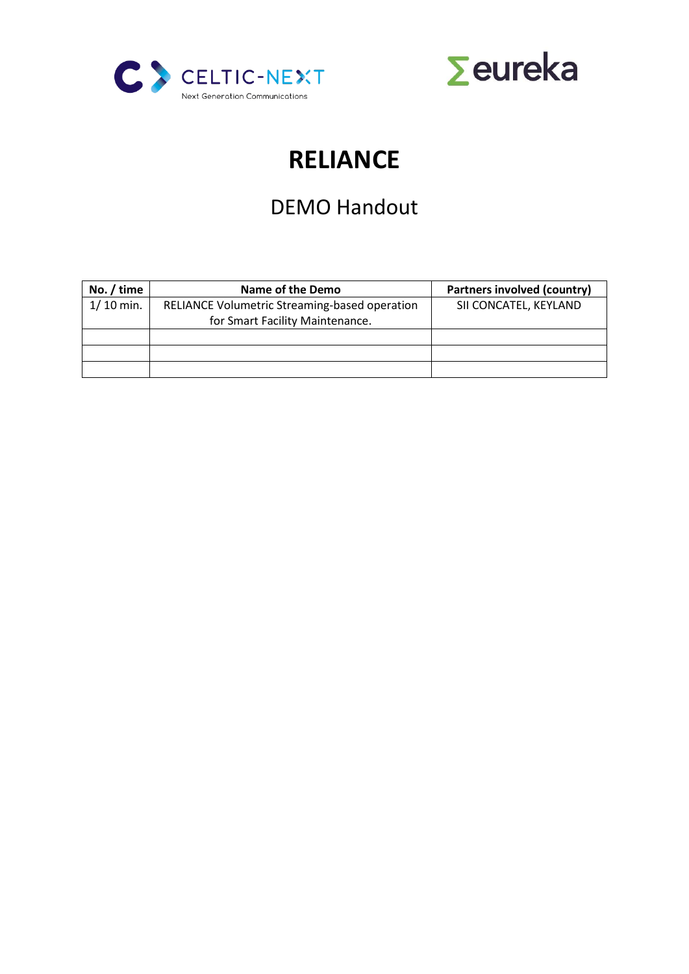



# **RELIANCE**

## DEMO Handout

| No. $/$ time | Name of the Demo                              | Partners involved (country) |
|--------------|-----------------------------------------------|-----------------------------|
| $1/10$ min.  | RELIANCE Volumetric Streaming-based operation | SII CONCATEL, KEYLAND       |
|              | for Smart Facility Maintenance.               |                             |
|              |                                               |                             |
|              |                                               |                             |
|              |                                               |                             |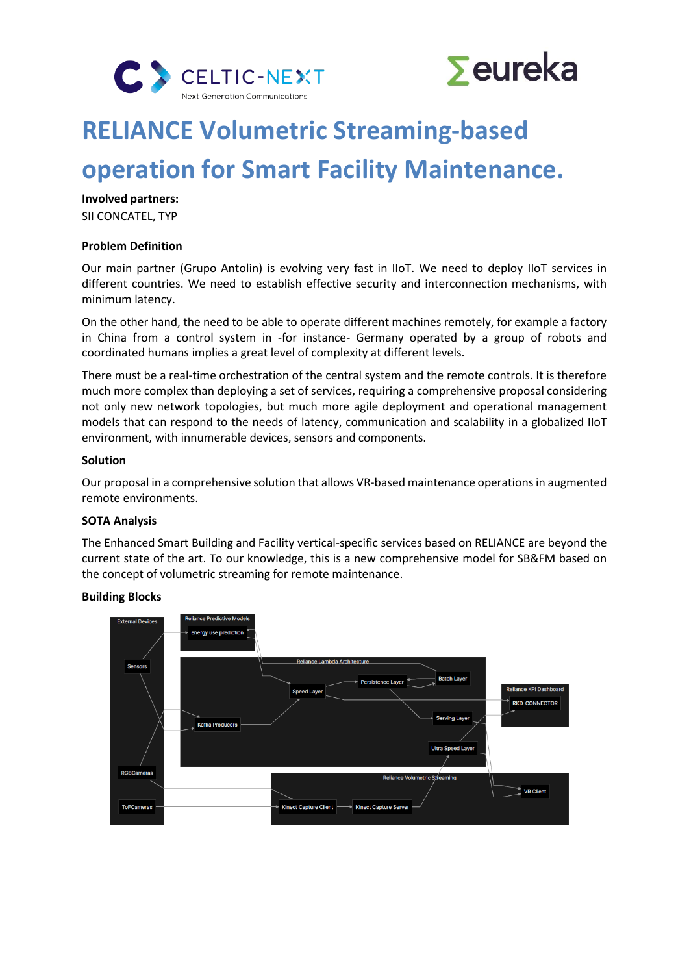



## **RELIANCE Volumetric Streaming-based**

## **operation for Smart Facility Maintenance.**

**Involved partners:** SII CONCATEL, TYP

#### **Problem Definition**

Our main partner (Grupo Antolin) is evolving very fast in IIoT. We need to deploy IIoT services in different countries. We need to establish effective security and interconnection mechanisms, with minimum latency.

On the other hand, the need to be able to operate different machines remotely, for example a factory in China from a control system in -for instance- Germany operated by a group of robots and coordinated humans implies a great level of complexity at different levels.

There must be a real-time orchestration of the central system and the remote controls. It is therefore much more complex than deploying a set of services, requiring a comprehensive proposal considering not only new network topologies, but much more agile deployment and operational management models that can respond to the needs of latency, communication and scalability in a globalized IIoT environment, with innumerable devices, sensors and components.

#### **Solution**

Our proposal in a comprehensive solution that allows VR-based maintenance operations in augmented remote environments.

#### **SOTA Analysis**

The Enhanced Smart Building and Facility vertical-specific services based on RELIANCE are beyond the current state of the art. To our knowledge, this is a new comprehensive model for SB&FM based on the concept of volumetric streaming for remote maintenance.

#### **Building Blocks**

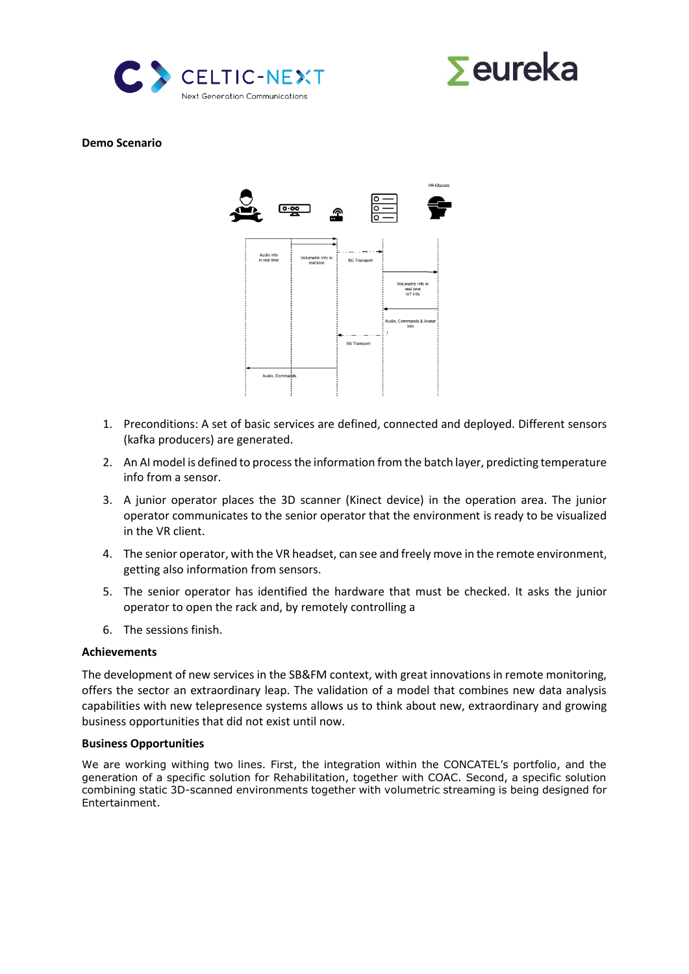



#### **Demo Scenario**



- 1. Preconditions: A set of basic services are defined, connected and deployed. Different sensors (kafka producers) are generated.
- 2. An AI model is defined to process the information from the batch layer, predicting temperature info from a sensor.
- 3. A junior operator places the 3D scanner (Kinect device) in the operation area. The junior operator communicates to the senior operator that the environment is ready to be visualized in the VR client.
- 4. The senior operator, with the VR headset, can see and freely move in the remote environment, getting also information from sensors.
- 5. The senior operator has identified the hardware that must be checked. It asks the junior operator to open the rack and, by remotely controlling a
- 6. The sessions finish.

#### **Achievements**

The development of new services in the SB&FM context, with great innovations in remote monitoring, offers the sector an extraordinary leap. The validation of a model that combines new data analysis capabilities with new telepresence systems allows us to think about new, extraordinary and growing business opportunities that did not exist until now.

#### **Business Opportunities**

We are working withing two lines. First, the integration within the CONCATEL's portfolio, and the generation of a specific solution for Rehabilitation, together with COAC. Second, a specific solution combining static 3D-scanned environments together with volumetric streaming is being designed for Entertainment.